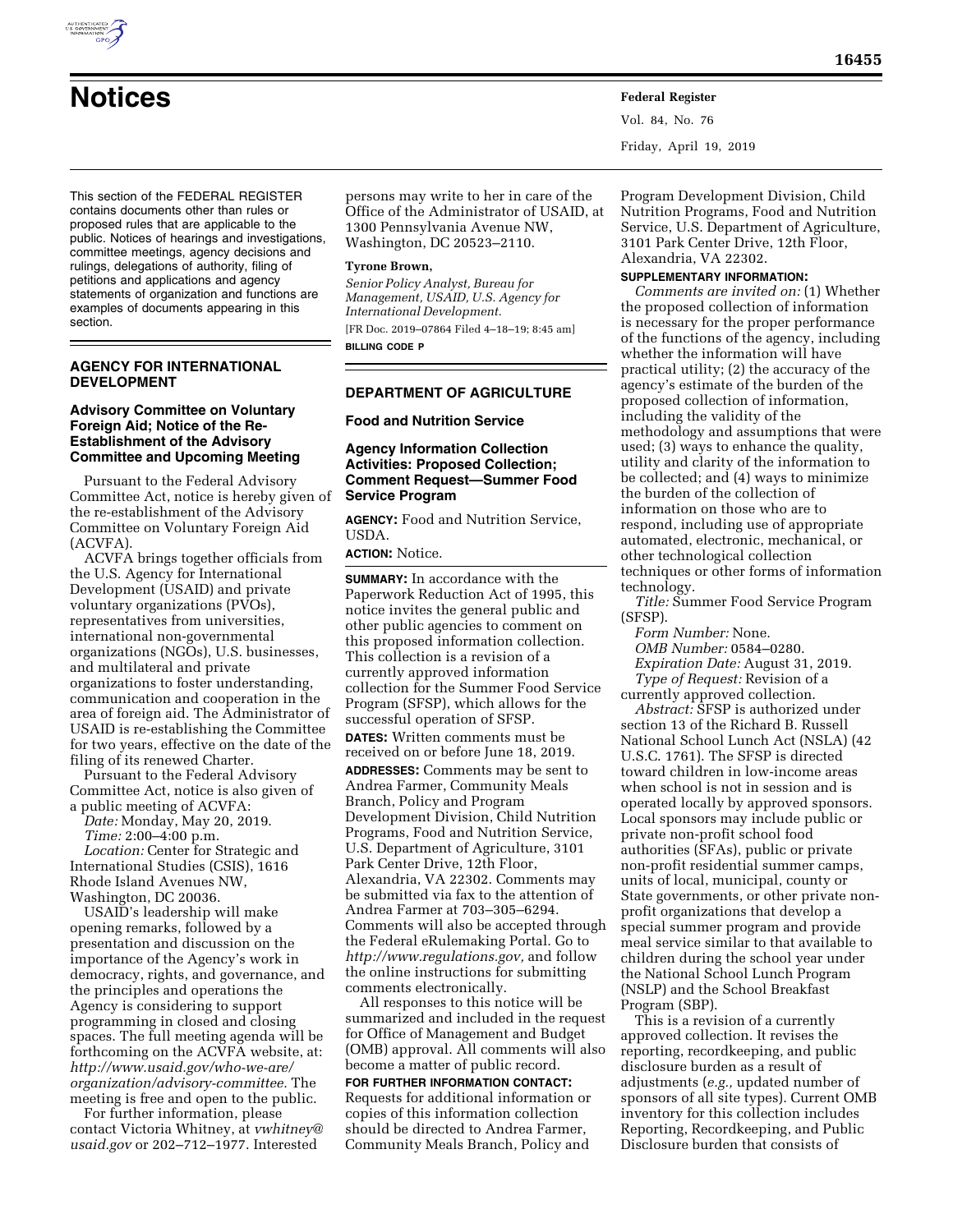

Vol. 84, No. 76 Friday, April 19, 2019

This section of the FEDERAL REGISTER contains documents other than rules or proposed rules that are applicable to the public. Notices of hearings and investigations, committee meetings, agency decisions and rulings, delegations of authority, filing of petitions and applications and agency statements of organization and functions are examples of documents appearing in this section.

### **AGENCY FOR INTERNATIONAL DEVELOPMENT**

### **Advisory Committee on Voluntary Foreign Aid; Notice of the Re-Establishment of the Advisory Committee and Upcoming Meeting**

Pursuant to the Federal Advisory Committee Act, notice is hereby given of the re-establishment of the Advisory Committee on Voluntary Foreign Aid (ACVFA).

ACVFA brings together officials from the U.S. Agency for International Development (USAID) and private voluntary organizations (PVOs), representatives from universities, international non-governmental organizations (NGOs), U.S. businesses, and multilateral and private organizations to foster understanding, communication and cooperation in the area of foreign aid. The Administrator of USAID is re-establishing the Committee for two years, effective on the date of the filing of its renewed Charter.

Pursuant to the Federal Advisory Committee Act, notice is also given of a public meeting of ACVFA:

*Date:* Monday, May 20, 2019.

*Time:* 2:00–4:00 p.m.

*Location:* Center for Strategic and International Studies (CSIS), 1616 Rhode Island Avenues NW, Washington, DC 20036.

USAID's leadership will make opening remarks, followed by a presentation and discussion on the importance of the Agency's work in democracy, rights, and governance, and the principles and operations the Agency is considering to support programming in closed and closing spaces. The full meeting agenda will be forthcoming on the ACVFA website, at: *[http://www.usaid.gov/who-we-are/](http://www.usaid.gov/who-we-are/organization/advisory-committee)  [organization/advisory-committee.](http://www.usaid.gov/who-we-are/organization/advisory-committee)* The meeting is free and open to the public.

For further information, please contact Victoria Whitney, at *[vwhitney@](mailto:vwhitney@usaid.gov) [usaid.gov](mailto:vwhitney@usaid.gov)* or 202–712–1977. Interested

persons may write to her in care of the Office of the Administrator of USAID, at 1300 Pennsylvania Avenue NW, Washington, DC 20523–2110.

#### **Tyrone Brown,**

*Senior Policy Analyst, Bureau for Management, USAID, U.S. Agency for International Development.*  [FR Doc. 2019–07864 Filed 4–18–19; 8:45 am] **BILLING CODE P** 

# **DEPARTMENT OF AGRICULTURE**

**Food and Nutrition Service** 

### **Agency Information Collection Activities: Proposed Collection; Comment Request—Summer Food Service Program**

**AGENCY:** Food and Nutrition Service, USDA.

**ACTION:** Notice.

**SUMMARY:** In accordance with the Paperwork Reduction Act of 1995, this notice invites the general public and other public agencies to comment on this proposed information collection. This collection is a revision of a currently approved information collection for the Summer Food Service Program (SFSP), which allows for the successful operation of SFSP. **DATES:** Written comments must be received on or before June 18, 2019. **ADDRESSES:** Comments may be sent to Andrea Farmer, Community Meals Branch, Policy and Program Development Division, Child Nutrition Programs, Food and Nutrition Service, U.S. Department of Agriculture, 3101 Park Center Drive, 12th Floor, Alexandria, VA 22302. Comments may be submitted via fax to the attention of Andrea Farmer at 703–305–6294. Comments will also be accepted through the Federal eRulemaking Portal. Go to *[http://www.regulations.gov,](http://www.regulations.gov)* and follow the online instructions for submitting comments electronically.

All responses to this notice will be summarized and included in the request for Office of Management and Budget (OMB) approval. All comments will also become a matter of public record.

**FOR FURTHER INFORMATION CONTACT:**  Requests for additional information or copies of this information collection should be directed to Andrea Farmer, Community Meals Branch, Policy and

Program Development Division, Child Nutrition Programs, Food and Nutrition Service, U.S. Department of Agriculture, 3101 Park Center Drive, 12th Floor, Alexandria, VA 22302.

### **SUPPLEMENTARY INFORMATION:**

*Comments are invited on:* (1) Whether the proposed collection of information is necessary for the proper performance of the functions of the agency, including whether the information will have practical utility; (2) the accuracy of the agency's estimate of the burden of the proposed collection of information, including the validity of the methodology and assumptions that were used; (3) ways to enhance the quality, utility and clarity of the information to be collected; and (4) ways to minimize the burden of the collection of information on those who are to respond, including use of appropriate automated, electronic, mechanical, or other technological collection techniques or other forms of information technology.

*Title:* Summer Food Service Program (SFSP).

*Form Number:* None. *OMB Number:* 0584–0280. *Expiration Date:* August 31, 2019.

*Type of Request:* Revision of a currently approved collection.

*Abstract:* SFSP is authorized under section 13 of the Richard B. Russell National School Lunch Act (NSLA) (42 U.S.C. 1761). The SFSP is directed toward children in low-income areas when school is not in session and is operated locally by approved sponsors. Local sponsors may include public or private non-profit school food authorities (SFAs), public or private non-profit residential summer camps, units of local, municipal, county or State governments, or other private nonprofit organizations that develop a special summer program and provide meal service similar to that available to children during the school year under the National School Lunch Program (NSLP) and the School Breakfast Program (SBP).

This is a revision of a currently approved collection. It revises the reporting, recordkeeping, and public disclosure burden as a result of adjustments (*e.g.,* updated number of sponsors of all site types). Current OMB inventory for this collection includes Reporting, Recordkeeping, and Public Disclosure burden that consists of